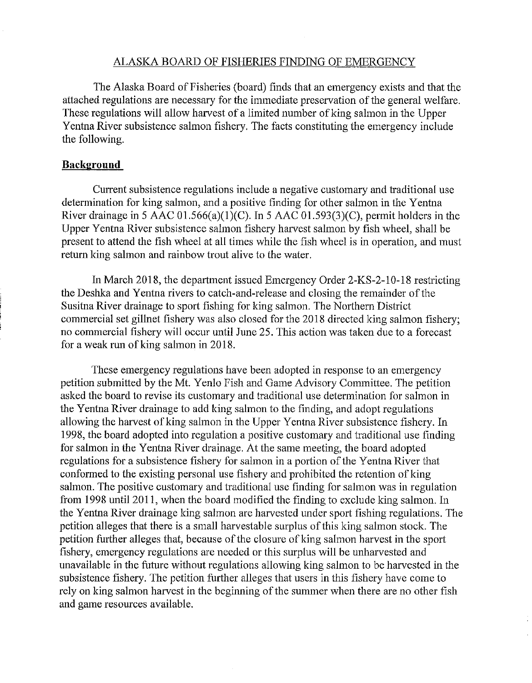### ALASKA BOARD OF FISHERIES FINDING OF EMERGENCY

The Alaska Board of Fisheries (board) finds that an emergency exists and that the attached regulations are necessary for the immediate preservation of the general welfare. These regulations will allow harvest of a limited number of king salmon in the Upper Y entna River subsistence salmon fishery. The facts constituting the emergency include the following.

### **Background**

Current subsistence regulations include a negative customary and traditional use determination for king salmon, and a positive finding for other salmon in the Yentna River drainage in 5 AAC 01.566(a)(1)(C). In 5 AAC 01.593(3)(C), permit holders in the Upper Yentna River subsistence salmon fishery harvest salmon by fish wheel, shall be present to attend the fish wheel at all times while the fish wheel is in operation, and must return king salmon and rainbow trout alive to the water.

In March 2018, the department issued Emergency Order 2-KS-2-10-18 restricting the Deshka and Yentna rivers to catch-and-release and closing the remainder of the Susitna River drainage to sport fishing for king salmon. The Northern District commercial set gillnet fishery was also closed for the 2018 directed king salmon fishery; no commercial fishery will occur until June 25. This action was taken due to a forecast for a weak run of king salmon in 2018.

These emergency regulations have been adopted in response to an emergency petition submitted by the Mt. Yenlo Fish and Game Advisory Committee. The petition asked the board to revise its customary and traditional use determination for salmon in the Yentna River drainage to add king salmon to the finding, and adopt regulations allowing the harvest of king salmon in the Upper Yentna River subsistence fishery. In 1998, the board adopted into regulation a positive customary and traditional use finding for salmon in the Yentna River drainage. At the same meeting, the board adopted regulations for a subsistence fishery for salmon in a portion of the Yentna River that conformed to the existing personal use fishery and prohibited the retention of king salmon. The positive customary and traditional use finding for salmon was in regulation from 1998 until 2011, when the board modified the finding to exclude king salmon. In the Yentna River drainage king salmon are harvested under sport fishing regulations. The petition alleges that there is a small harvestable surplus of this king salmon stock. The petition further alleges that, because of the closure of king salmon harvest in the sport :fishery, emergency regulations are needed or this surplus will be unharvested and unavailable in the future without regulations allowing king salmon to be harvested in the subsistence fishery. The petition further alleges that users in this fishery have come to rely on king salmon harvest in the beginning of the summer when there are no other fish and game resources available.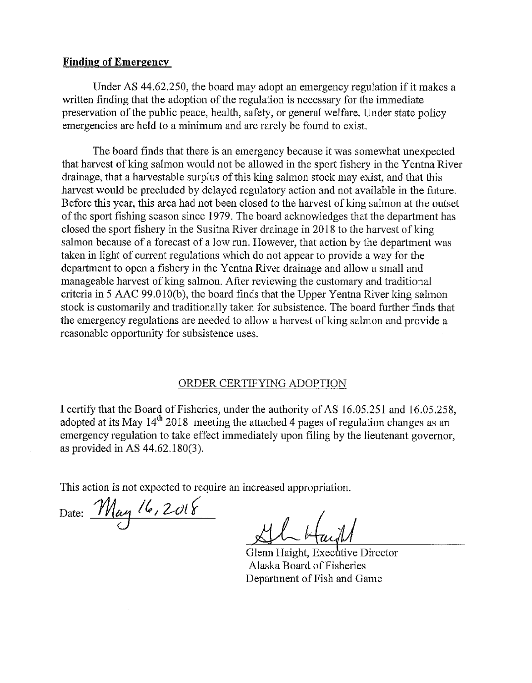# **Finding of Emergency**

Under AS 44.62.250, the board may adopt an emergency regulation if it makes a written finding that the adoption of the regulation is necessary for the immediate preservation of the public peace, health, safety, or general welfare. Under state policy emergencies are held to a minimum and are rarely be found to exist.

The board finds that there is an emergency because it was somewhat unexpected that harvest of king salmon would not be allowed in the sport fishery in the Yentna River drainage, that a harvestable surplus ofthis king salmon stock may exist, and that this harvest would be precluded by delayed regulatory action and not available in the future. Before this year, this area had not been closed to the harvest of king salmon at the outset of the sport fishing season since 1979. The board acknowledges that the department has closed the sport fishery in the Susitna River drainage in 2018 to the harvest of king salmon because of a forecast of a low run. However, that action by the department was taken in light of current regulations which do not appear to provide a way for the department to open a fishery in the Yentna River drainage and allow a small and manageable harvest of king salmon. After reviewing the customary and traditional criteria in 5 AAC 99.010(b), the board finds that the Upper Yentna River king salmon stock is customarily and traditionally taken for subsistence. The board further finds that the emergency regulations are needed to allow a harvest of king salmon and provide a reasonable opportunity for subsistence uses.

### **ORDER CERTIFYING ADOPTION**

I certify that the Board of Fisheries, under the authority of AS 16.05.251 and 16.05.258, adopted at its May  $14<sup>th</sup>$  2018 meeting the attached 4 pages of regulation changes as an emergency regulation to take effect immediately upon filing by the lieutenant governor, as provided in AS 44.62.180(3).

This action is not expected to require an increased appropriation.

Date: <u>May 16,2018</u>

Glenn Haight, Executive Director Alaska Board ofFisheries Department of Fish and Game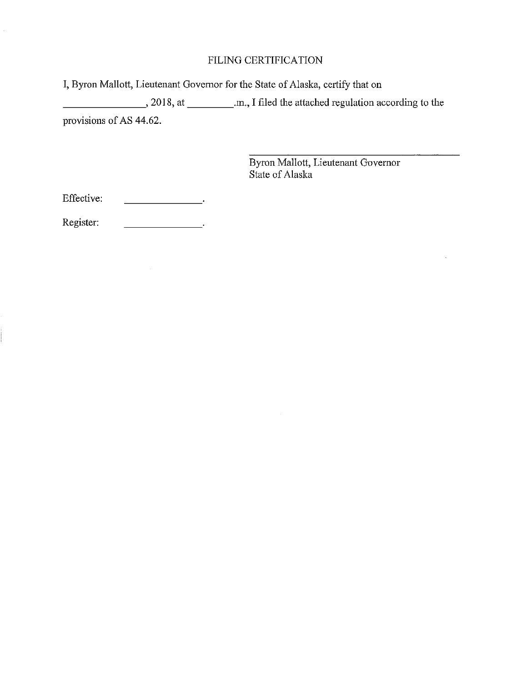# FILING CERTIFICATION

 $\sim$ 

I, Byron Mallott, Lieutenant Governor for the State of Alaska, certify that on

2018, at \_\_\_\_\_\_\_\_\_\_\_\_\_\_. m., I filed the attached regulation according to the provisions of AS 44.62.

> Byron Mallott, Lieutenant Governor State of Alaska

> > $\ddot{\phantom{a}}$

Effective: <u> 1990 - Jan Sterlinger</u>

Register: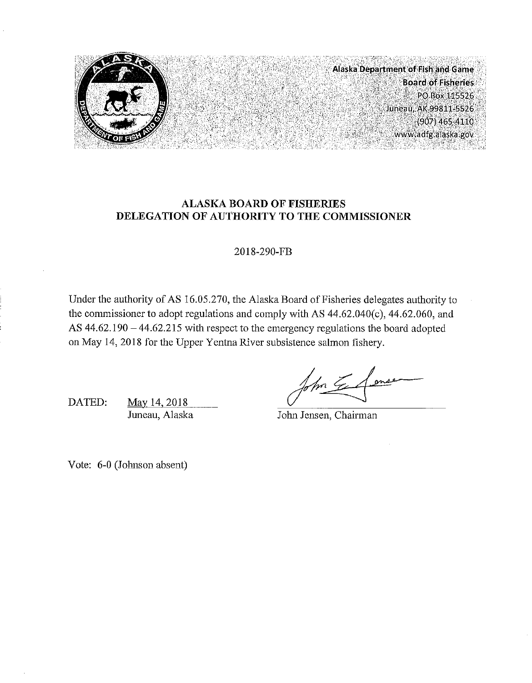

Alaska Department of Fish and Game **Board of Fisheries** PO Box 115526 Juneau, AK 99811-5526  $(907)$  465-4110 www.adfg.alaska.gov

## **ALASKA BOARD OF FISHERIES DELEGATION OF AUTHORITY TO THE COMMISSIONER**

### 2018-290-FB

Under the authority of AS 16.05.270, the Alaska Board of Fisheries delegates authority to the commissioner to adopt regulations and comply with AS 44.62.040(c), 44.62.060, and AS  $44.62.190 - 44.62.215$  with respect to the emergency regulations the board adopted on May 14, 2018 for the Upper Yentna River subsistence salmon fishery.

DATED: May 14, 2018<br>Juneau, Alaska

In El Sons

John Jensen, Chairman

Vote: 6-0 (Johnson absent)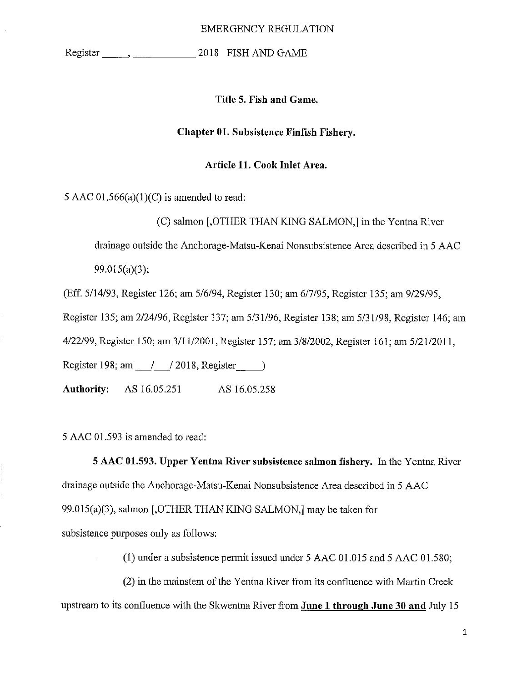#### Register \_ \_\_, \_\_\_\_\_2018 FISH AND GAME

### **Title 5. Fish and Game.**

### **Chapter 01. Subsistence Finfish Fishery.**

#### **Article 11. Cook Inlet Area.**

5 AAC  $01.566(a)(1)(C)$  is amended to read:

(C) salmon [,OTHER THAN KING SALMON,] in the Yentna River

drainage outside the Anchorage-Matsu-Kenai Nonsubsistence Area described in 5 AAC

99.015(a)(3);

(Eff. 5/14/93, Register 126; am 5/6/94, Register 130; am 6/7/95, Register 135; am 9/29/95,

Register 135; am 2/24/96, Register 137; am 5/31/96, Register 138; am 5/31/98, Register 146; am

4/22/99, Register 150; am 3/11/2001, Register 157; am 3/8/2002, Register 161; am 5/21/2011,

Register 198; am \_\_\_ / \_\_ / 2018, Register\_\_\_\_\_

**Authority:** AS 16.05.251 AS 16.05.258

5 AAC 01.593 is amended to read:

**5 AAC 01.593. Upper Yentna River subsistence salmon fishery.** In the Yentna River drainage outside the Anchorage-Matsu-Kenai Nonsubsistence Area described in 5 AAC 99.015(a)(3), salmon [,OTHER THAN KING SALMON,] may be taken for subsistence purposes only as follows:

(1) under a subsistence permit issued under 5 AAC 01.015 and 5 AAC 01.580;

(2) in the mainstem of the Yentna River from its confluence with Martin Creek upstream to its confluence with the Skwentna River from **June 1 through June 30 and** July 15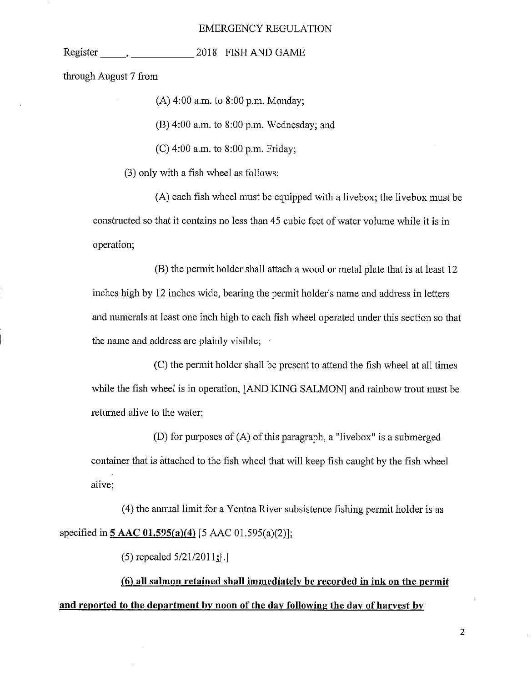#### EMERGENCY REGULATION

Register  $\qquad \qquad , \qquad \qquad 2018$  FISH AND GAME

through August 7 from

(A) 4:00 a.m. to 8:00 p.m. Monday;

(B) 4:00 a.m. to 8:00 p.m. Wednesday; and

(C) 4:00 a.m. to 8:00 p.m. Friday;

(3) only with a fish wheel as follows:

(A) each fish wheel must be equipped with a livebox; the livebox must be constructed so that it contains no less than 45 cubic feet of water volume while it is in operation;

(B) the permit holder shall attach a wood or metal plate that is at least 12 inches high by 12 inches wide, bearing the permit holder's name and address in letters and numerals at least one inch high to each fish wheel operated under this section so that the name and address are plainly visible;

(C) the permit holder shall be present to attend the fish wheel at all times while the fish wheel is in operation, [AND KING SALMON] and rainbow trout must be returned alive to the water;

(D) for purposes of (A) of this paragraph, a "livebox" is a submerged container that is attached to the fish wheel that will keep fish caught by the fish wheel alive;

(4) the annual limit for a Yentna River subsistence fishing permit holder is as specified in **5 AAC 01.595(a)(4)** [5 AAC Ol.595(a)(2)];

(5) repealed  $5/21/2011$ ;[.]

**(6) all salmon retained shall immediately be recorded in ink on the permit and reported to the department by noon of the day following the day of harvest by** 

2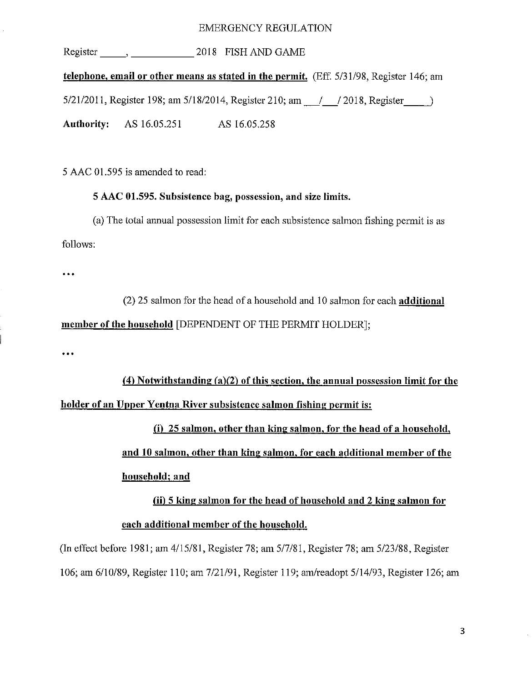#### EMERGENCY REGULATION

Register  $. 2018$  FISH AND GAME

**telephone, email or other means as stated in the permit.** (Eff. 5/31/98, Register 146; am

5/21/2011, Register 198; am 5/18/2014, Register 210; am\_/\_/ 2018, Register \_ \_)

**Authority:** AS 16.05.251 AS 16.05.258

5 AAC 01.595 is amended to read:

### **5 AAC 01.595. Subsistence bag, possession, and size limits.**

(a) The total annual possession limit for each subsistence salmon fishing permit is as follows:

...

(2) 25 salmon for the head of a household and 10 salmon for each **additional member of the household** [DEPENDENT OF THE PERMIT HOLDER];

 $\ddotsc$ 

**(4) Notwithstanding (a)(2) of this section, the annual oossession limit for the holder of an Upper Yentna River subsistence salmon fishing permit is:** 

> (i) **25 salmon, other than king salmon, for the head of a household, and 10 salmon, other than king salmon, for each additional member of the household; and**

(ii) **5 king salmon for the head of household and 2 king salmon for each additional member of the household.** 

(In effect before 1981; am 4/15/81, Register 78; am 5/7/81, Register 78; am 5/23/88, Register 106; am 6/10/89, Register 110; am 7/21/91, Register 119; am/readopt 5/14/93, Register 126; am